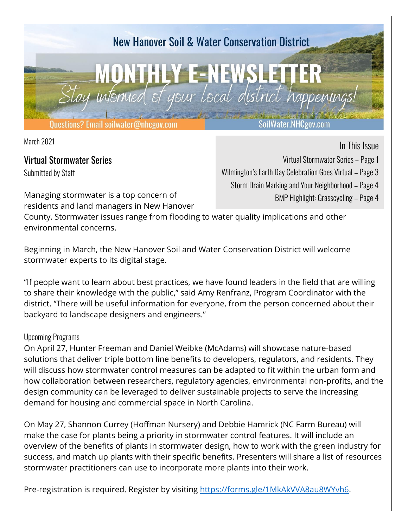

March 2021

Virtual Stormwater Series Submitted by Staff

Managing stormwater is a top concern of

In This Issue

Virtual Stormwater Series – Page 1

Wilmington's Earth Day Celebration Goes Virtual – Page 3

Storm Drain Marking and Your Neighborhood – Page 4

BMP Highlight: Grasscycling – Page 4

residents and land managers in New Hanover County. Stormwater issues range from flooding to water quality implications and other environmental concerns.

Beginning in March, the New Hanover Soil and Water Conservation District will welcome stormwater experts to its digital stage.

"If people want to learn about best practices, we have found leaders in the field that are willing to share their knowledge with the public," said Amy Renfranz, Program Coordinator with the district. "There will be useful information for everyone, from the person concerned about their backyard to landscape designers and engineers."

#### Upcoming Programs

On April 27, Hunter Freeman and Daniel Weibke (McAdams) will showcase nature-based solutions that deliver triple bottom line benefits to developers, regulators, and residents. They will discuss how stormwater control measures can be adapted to fit within the urban form and how collaboration between researchers, regulatory agencies, environmental non-profits, and the design community can be leveraged to deliver sustainable projects to serve the increasing demand for housing and commercial space in North Carolina.

On May 27, Shannon Currey (Hoffman Nursery) and Debbie Hamrick (NC Farm Bureau) will make the case for plants being a priority in stormwater control features. It will include an overview of the benefits of plants in stormwater design, how to work with the green industry for success, and match up plants with their specific benefits. Presenters will share a list of resources stormwater practitioners can use to incorporate more plants into their work.

Pre-registration is required. Register by visiting [https://forms.gle/1MkAkVVA8au8WYvh6.](https://forms.gle/1MkAkVVA8au8WYvh6)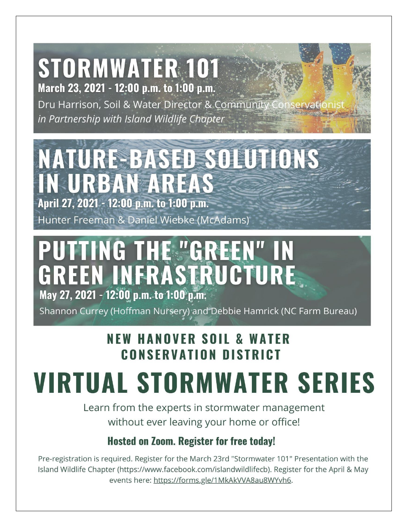## **STORMWATER 101** March 23, 2021 - 12:00 p.m. to 1:00 p.m.

Dru Harrison, Soil & Water Director & Community in Partnership with Island Wildlife Chapter

# NATURE-BASED SOLUTIONS **IN URBAN AREAS**

April 27, 2021 - 12:00 p.m. to 1:00 p.m.

Hunter Freeman & Daniel Wiebke (McAdams)

# **PUTTING THE "GREEN" IN** GREEN INFRASTRUCTURE May 27, 2021 - 12:00 p.m. to 1:00 p.m.

Shannon Currey (Hoffman Nursery) and Debbie Hamrick (NC Farm Bureau)

### **NEW HANOVER SOIL & WATER CONSERVATION DISTRICT**

# **VIRTUAL STORMWATER SERIES**

Learn from the experts in stormwater management without ever leaving your home or office!

#### **Hosted on Zoom. Register for free today!**

Pre-registration is required. Register for the March 23rd "Stormwater 101" Presentation with the Island Wildlife Chapter (https://www.facebook.com/islandwildlifecb). Register for the April & May events here: https://forms.gle/1MkAkVVA8au8WYvh6.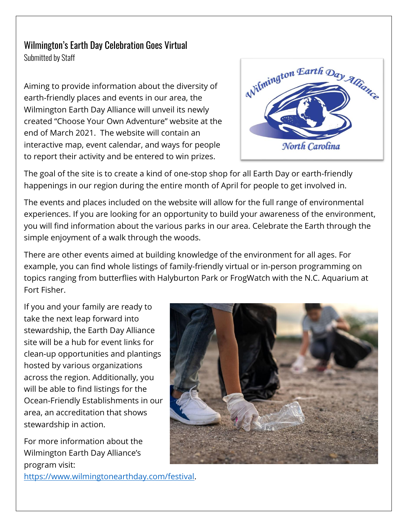#### Wilmington's Earth Day Celebration Goes Virtual Submitted by Staff

Aiming to provide information about the diversity of earth-friendly places and events in our area, the Wilmington Earth Day Alliance will unveil its newly created "Choose Your Own Adventure" website at the end of March 2021. The website will contain an interactive map, event calendar, and ways for people to report their activity and be entered to win prizes.



The goal of the site is to create a kind of one-stop shop for all Earth Day or earth-friendly happenings in our region during the entire month of April for people to get involved in.

The events and places included on the website will allow for the full range of environmental experiences. If you are looking for an opportunity to build your awareness of the environment, you will find information about the various parks in our area. Celebrate the Earth through the simple enjoyment of a walk through the woods.

There are other events aimed at building knowledge of the environment for all ages. For example, you can find whole listings of family-friendly virtual or in-person programming on topics ranging from butterflies with Halyburton Park or FrogWatch with the N.C. Aquarium at Fort Fisher.

If you and your family are ready to take the next leap forward into stewardship, the Earth Day Alliance site will be a hub for event links for clean-up opportunities and plantings hosted by various organizations across the region. Additionally, you will be able to find listings for the Ocean-Friendly Establishments in our area, an accreditation that shows stewardship in action.

For more information about the Wilmington Earth Day Alliance's program visit:

[https://www.wilmingtonearthday.com/festival.](https://www.wilmingtonearthday.com/festival)

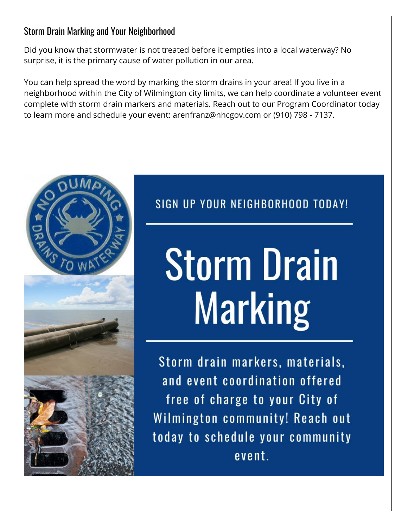#### Storm Drain Marking and Your Neighborhood

Did you know that stormwater is not treated before it empties into a local waterway? No surprise, it is the primary cause of water pollution in our area.

You can help spread the word by marking the storm drains in your area! If you live in a neighborhood within the City of Wilmington city limits, we can help coordinate a volunteer event complete with storm drain markers and materials. Reach out to our Program Coordinator today to learn more and schedule your event: arenfranz@nhcgov.com or (910) 798 - 7137.



## SIGN UP YOUR NEIGHBORHOOD TODAY!

# **Storm Drain Marking**

Storm drain markers, materials, and event coordination offered free of charge to your City of Wilmington community! Reach out today to schedule your community event.